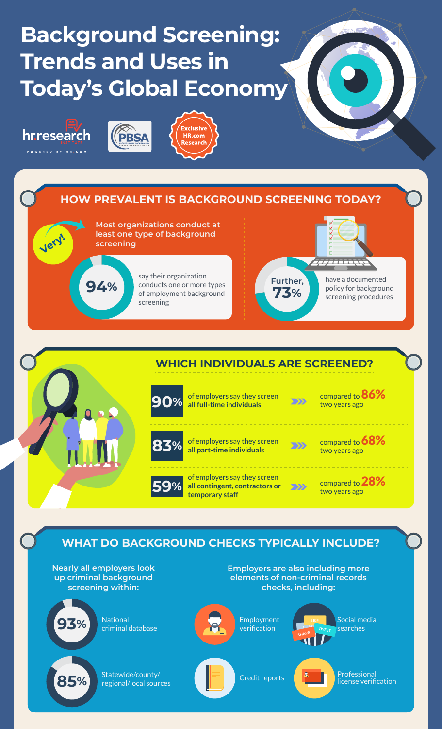## **Background Screening: Trends and Uses in Today's Global Economy**



**Very!**







**Most organizations conduct at least one type of background screening**

> say their organization conducts one or more types of employment background screening



have a documented policy for background screening procedures

7<u>7733333</u>



compared to 86% two years ago

compared to 68% two years ago

compared to 28% two years ago

## **WHAT DO BACKGROUND CHECKS TYPICALLY INCLUDE?**

**Nearly all employers look up criminal background screening within:**

**94%**



**93%** National criminal database

**85%** Statewide/county/

**Employers are also including more elements of non-criminal records checks, including:**



Social media searches



 $\overline{C}$  redit reports  $\overline{C}$   $\overline{C}$   $\overline{C}$   $\overline{C}$   $\overline{C}$   $\overline{C}$   $\overline{C}$   $\overline{C}$   $\overline{C}$   $\overline{C}$   $\overline{C}$   $\overline{C}$   $\overline{C}$   $\overline{C}$   $\overline{C}$   $\overline{C}$   $\overline{C}$   $\overline{C}$   $\overline{C}$   $\overline{C}$   $\overline{C}$   $\overline{C}$  license verification